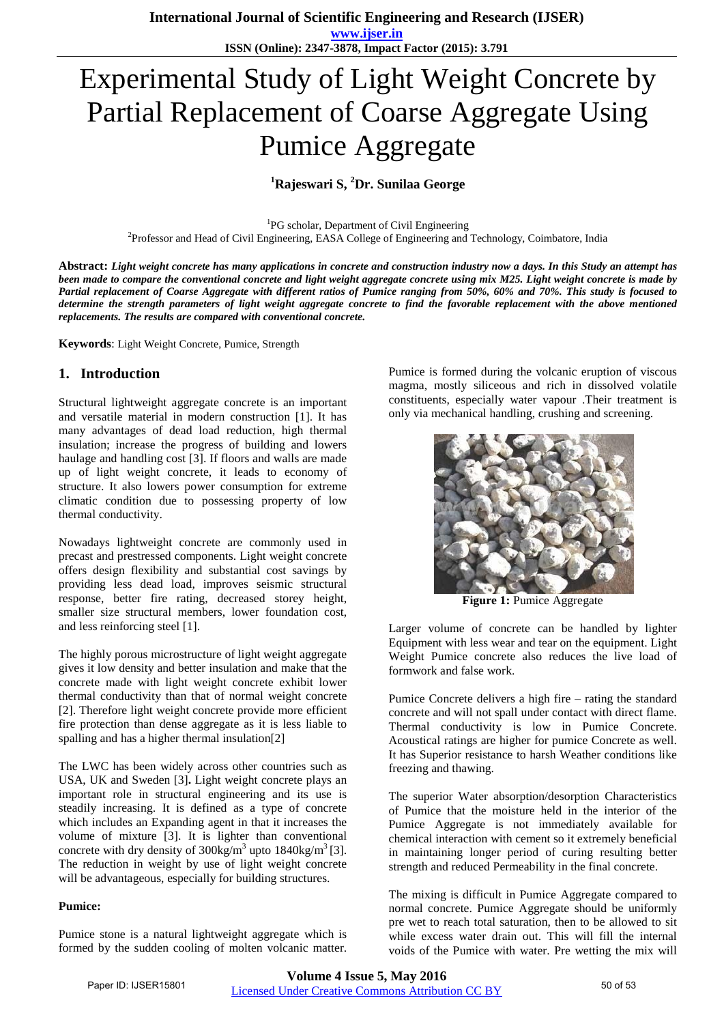**ISSN (Online): 2347-3878, Impact Factor (2015): 3.791**

# Experimental Study of Light Weight Concrete by Partial Replacement of Coarse Aggregate Using Pumice Aggregate

# **<sup>1</sup>Rajeswari S, <sup>2</sup>Dr. Sunilaa George**

<sup>1</sup>PG scholar, Department of Civil Engineering 2 Professor and Head of Civil Engineering, EASA College of Engineering and Technology, Coimbatore, India

**Abstract:** *Light weight concrete has many applications in concrete and construction industry now a days. In this Study an attempt has been made to compare the conventional concrete and light weight aggregate concrete using mix M25. Light weight concrete is made by Partial replacement of Coarse Aggregate with different ratios of Pumice ranging from 50%, 60% and 70%. This study is focused to determine the strength parameters of light weight aggregate concrete to find the favorable replacement with the above mentioned replacements. The results are compared with conventional concrete.*

**Keywords**: Light Weight Concrete, Pumice, Strength

## **1. Introduction**

Structural lightweight aggregate concrete is an important and versatile material in modern construction [1]. It has many advantages of dead load reduction, high thermal insulation; increase the progress of building and lowers haulage and handling cost [3]. If floors and walls are made up of light weight concrete, it leads to economy of structure. It also lowers power consumption for extreme climatic condition due to possessing property of low thermal conductivity.

Nowadays lightweight concrete are commonly used in precast and prestressed components. Light weight concrete offers design flexibility and substantial cost savings by providing less dead load, improves seismic structural response, better fire rating, decreased storey height, smaller size structural members, lower foundation cost, and less reinforcing steel [1].

The highly porous microstructure of light weight aggregate gives it low density and better insulation and make that the concrete made with light weight concrete exhibit lower thermal conductivity than that of normal weight concrete [2]. Therefore light weight concrete provide more efficient fire protection than dense aggregate as it is less liable to spalling and has a higher thermal insulation[2]

The LWC has been widely across other countries such as USA, UK and Sweden [3]**.** Light weight concrete plays an important role in structural engineering and its use is steadily increasing. It is defined as a type of concrete which includes an Expanding agent in that it increases the volume of mixture [3]. It is lighter than conventional concrete with dry density of  $300 \text{kg/m}^3$  upto  $1840 \text{kg/m}^3$  [3]. The reduction in weight by use of light weight concrete will be advantageous, especially for building structures.

#### **Pumice:**

Pumice stone is a natural lightweight aggregate which is formed by the sudden cooling of molten volcanic matter.

Pumice is formed during the volcanic eruption of viscous magma, mostly siliceous and rich in dissolved volatile constituents, especially water vapour .Their treatment is only via mechanical handling, crushing and screening.



**Figure 1:** Pumice Aggregate

Larger volume of concrete can be handled by lighter Equipment with less wear and tear on the equipment. Light Weight Pumice concrete also reduces the live load of formwork and false work.

Pumice Concrete delivers a high fire – rating the standard concrete and will not spall under contact with direct flame. Thermal conductivity is low in Pumice Concrete. Acoustical ratings are higher for pumice Concrete as well. It has Superior resistance to harsh Weather conditions like freezing and thawing.

The superior Water absorption/desorption Characteristics of Pumice that the moisture held in the interior of the Pumice Aggregate is not immediately available for chemical interaction with cement so it extremely beneficial in maintaining longer period of curing resulting better strength and reduced Permeability in the final concrete.

The mixing is difficult in Pumice Aggregate compared to normal concrete. Pumice Aggregate should be uniformly pre wet to reach total saturation, then to be allowed to sit while excess water drain out. This will fill the internal voids of the Pumice with water. Pre wetting the mix will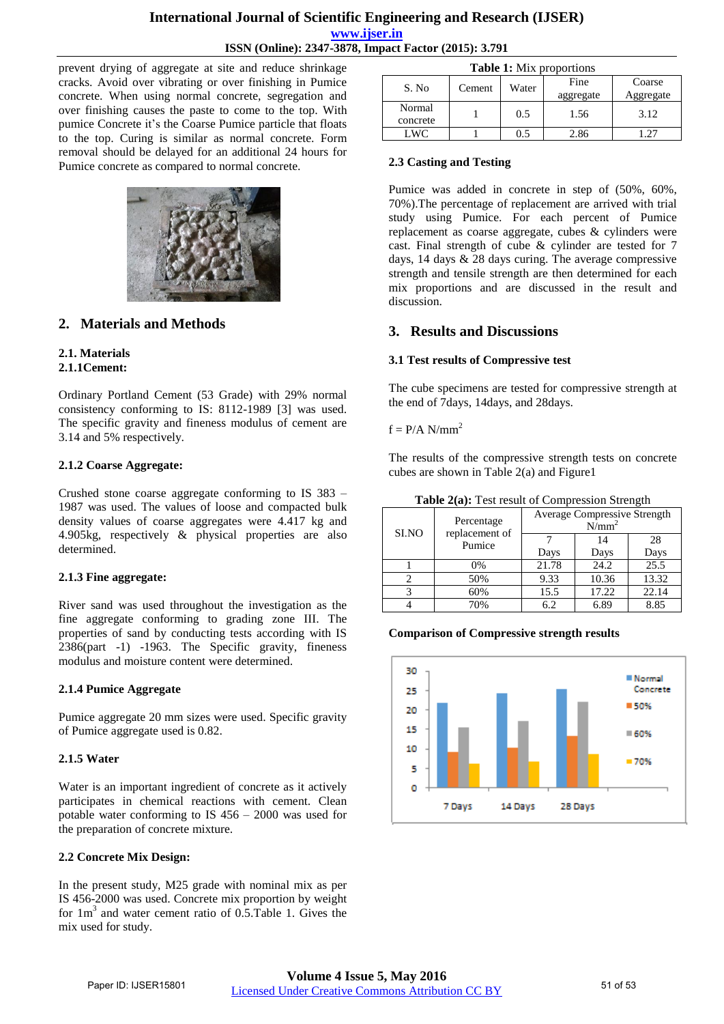prevent drying of aggregate at site and reduce shrinkage cracks. Avoid over vibrating or over finishing in Pumice concrete. When using normal concrete, segregation and over finishing causes the paste to come to the top. With pumice Concrete it's the Coarse Pumice particle that floats to the top. Curing is similar as normal concrete. Form removal should be delayed for an additional 24 hours for Pumice concrete as compared to normal concrete.



# **2. Materials and Methods**

# **2.1. Materials**

# **2.1.1Cement:**

Ordinary Portland Cement (53 Grade) with 29% normal consistency conforming to IS: 8112-1989 [3] was used. The specific gravity and fineness modulus of cement are 3.14 and 5% respectively.

#### **2.1.2 Coarse Aggregate:**

Crushed stone coarse aggregate conforming to IS 383 – 1987 was used. The values of loose and compacted bulk density values of coarse aggregates were 4.417 kg and 4.905kg, respectively & physical properties are also determined.

#### **2.1.3 Fine aggregate:**

River sand was used throughout the investigation as the fine aggregate conforming to grading zone III. The properties of sand by conducting tests according with IS 2386(part -1) -1963. The Specific gravity, fineness modulus and moisture content were determined.

## **2.1.4 Pumice Aggregate**

Pumice aggregate 20 mm sizes were used. Specific gravity of Pumice aggregate used is 0.82.

## **2.1.5 Water**

Water is an important ingredient of concrete as it actively participates in chemical reactions with cement. Clean potable water conforming to IS 456 – 2000 was used for the preparation of concrete mixture.

## **2.2 Concrete Mix Design:**

In the present study, M25 grade with nominal mix as per IS 456-2000 was used. Concrete mix proportion by weight for 1m<sup>3</sup> and water cement ratio of 0.5.Table 1. Gives the mix used for study.

| <b>Table 1:</b> Mix proportions |        |       |                   |                     |  |  |
|---------------------------------|--------|-------|-------------------|---------------------|--|--|
| S. No                           | Cement | Water | Fine<br>aggregate | Coarse<br>Aggregate |  |  |
| Normal<br>concrete              |        | 0.5   | 1.56              | 3.12                |  |  |
| LWC <sup>.</sup>                |        |       | 2.86              |                     |  |  |

#### **2.3 Casting and Testing**

Pumice was added in concrete in step of (50%, 60%, 70%).The percentage of replacement are arrived with trial study using Pumice. For each percent of Pumice replacement as coarse aggregate, cubes & cylinders were cast. Final strength of cube & cylinder are tested for 7 days, 14 days & 28 days curing. The average compressive strength and tensile strength are then determined for each mix proportions and are discussed in the result and discussion.

# **3. Results and Discussions**

#### **3.1 Test results of Compressive test**

The cube specimens are tested for compressive strength at the end of 7days, 14days, and 28days.

#### $f = P/A N/mm^2$

The results of the compressive strength tests on concrete cubes are shown in Table 2(a) and Figure1

| Table 2(a): Test result of Compression Strength |                          |                                          |            |            |  |
|-------------------------------------------------|--------------------------|------------------------------------------|------------|------------|--|
|                                                 | Percentage               | Average Compressive Strength<br>$N/mm^2$ |            |            |  |
| SI.NO                                           | replacement of<br>Pumice | Days                                     | 14<br>Days | 28<br>Days |  |
|                                                 | 0%                       | 21.78                                    | 24.2       | 25.5       |  |
|                                                 | 50%                      | 9.33                                     | 10.36      | 13.32      |  |
|                                                 | 60%                      | 15.5                                     | 17.22      | 22.14      |  |

4 70% 6.2 6.89 8.85

#### **Comparison of Compressive strength results**

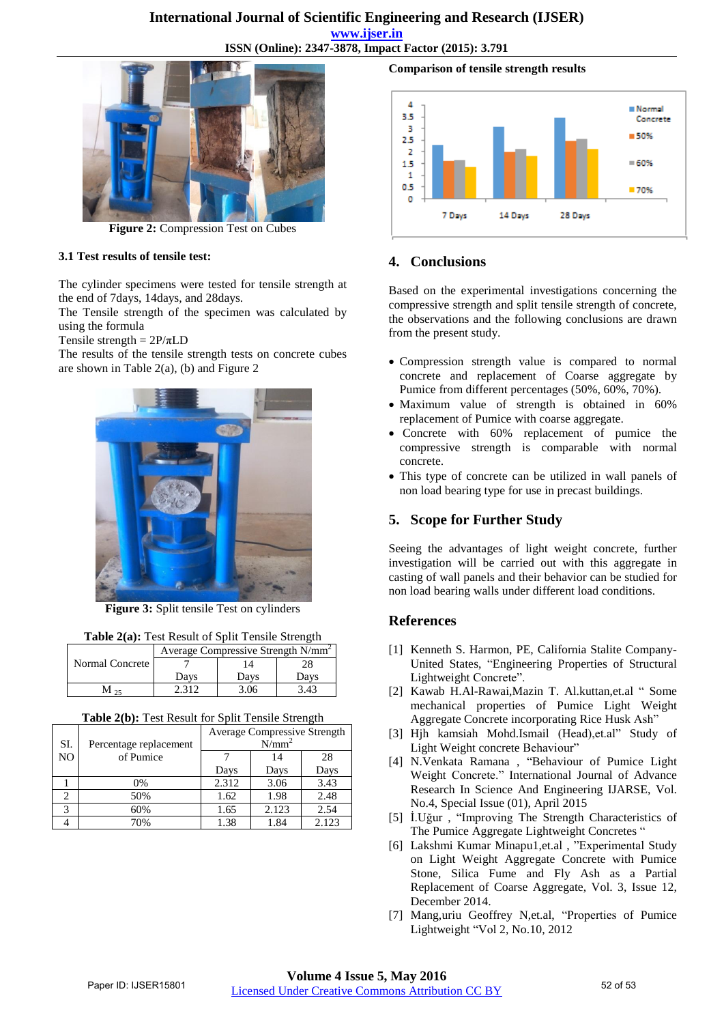# **International Journal of Scientific Engineering and Research (IJSER)**

**www.ijser.in**

**ISSN (Online): 2347-3878, Impact Factor (2015): 3.791**



**Figure 2:** Compression Test on Cubes

## **3.1 Test results of tensile test:**

The cylinder specimens were tested for tensile strength at the end of 7days, 14days, and 28days.

The Tensile strength of the specimen was calculated by using the formula

Tensile strength =  $2P/\pi LD$ 

The results of the tensile strength tests on concrete cubes are shown in Table 2(a), (b) and Figure 2



**Figure 3:** Split tensile Test on cylinders

| Table 2(a): Test Result of Split Tensile Strength |  |  |  |  |
|---------------------------------------------------|--|--|--|--|
|                                                   |  |  |  |  |

|                 | Average Compressive Strength N/mm <sup>2</sup> |      |      |  |
|-----------------|------------------------------------------------|------|------|--|
| Normal Concrete |                                                |      |      |  |
|                 | Davs                                           | Davs | Davs |  |
|                 |                                                | 3.06 | 3.43 |  |

| Table 2(b): Test Result for Split Tensile Strength |
|----------------------------------------------------|
|----------------------------------------------------|

|                               |       | $2.4024$ $\pm 0.007$ $\pm 0.000$ and $\pm 0.10$ $\pm 0.000$ and $\pm 0.000$ and $\pm 0.000$ |       |  |  |  |  |  |
|-------------------------------|-------|---------------------------------------------------------------------------------------------|-------|--|--|--|--|--|
| SI.<br>Percentage replacement |       | <b>Average Compressive Strength</b><br>$N/mm^2$                                             |       |  |  |  |  |  |
| N <sub>O</sub><br>of Pumice   |       | 14                                                                                          | 28    |  |  |  |  |  |
|                               | Days  | Days                                                                                        | Days  |  |  |  |  |  |
| 0%                            | 2.312 | 3.06                                                                                        | 3.43  |  |  |  |  |  |
| 50%                           | 1.62  | 1.98                                                                                        | 2.48  |  |  |  |  |  |
| 60%<br>3                      | 1.65  | 2.123                                                                                       | 2.54  |  |  |  |  |  |
| 70%                           | 1.38  | 1.84                                                                                        | 2.123 |  |  |  |  |  |

**Comparison of tensile strength results** 



# **4. Conclusions**

Based on the experimental investigations concerning the compressive strength and split tensile strength of concrete, the observations and the following conclusions are drawn from the present study.

- Compression strength value is compared to normal concrete and replacement of Coarse aggregate by Pumice from different percentages (50%, 60%, 70%).
- Maximum value of strength is obtained in 60% replacement of Pumice with coarse aggregate.
- Concrete with 60% replacement of pumice the compressive strength is comparable with normal concrete.
- This type of concrete can be utilized in wall panels of non load bearing type for use in precast buildings.

# **5. Scope for Further Study**

Seeing the advantages of light weight concrete, further investigation will be carried out with this aggregate in casting of wall panels and their behavior can be studied for non load bearing walls under different load conditions.

# **References**

- [1] Kenneth S. Harmon, PE, California Stalite Company-United States, "Engineering Properties of Structural Lightweight Concrete".
- [2] Kawab H.Al-Rawai,Mazin T. Al.kuttan,et.al " Some mechanical properties of Pumice Light Weight Aggregate Concrete incorporating Rice Husk Ash"
- [3] Hjh kamsiah Mohd.Ismail (Head),et.al" Study of Light Weight concrete Behaviour"
- [4] N.Venkata Ramana , "Behaviour of Pumice Light Weight Concrete." International Journal of Advance Research In Science And Engineering IJARSE, Vol. No.4, Special Issue (01), April 2015
- [5] İ.Uğur , "Improving The Strength Characteristics of The Pumice Aggregate Lightweight Concretes "
- [6] Lakshmi Kumar Minapu1,et.al , "Experimental Study on Light Weight Aggregate Concrete with Pumice Stone, Silica Fume and Fly Ash as a Partial Replacement of Coarse Aggregate, Vol. 3, Issue 12, December 2014.
- [7] Mang,uriu Geoffrey N,et.al, "Properties of Pumice Lightweight "Vol 2, No.10, 2012